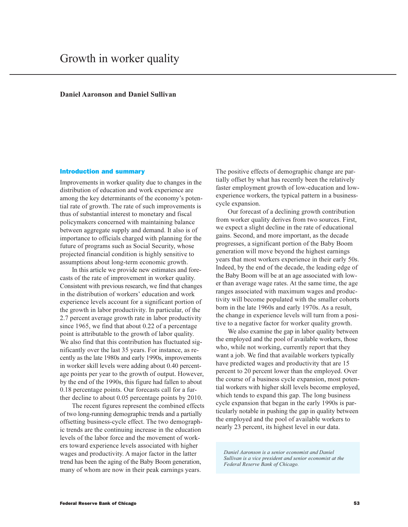## **Daniel Aaronson and Daniel Sullivan**

#### **Introduction and summary**

Improvements in worker quality due to changes in the distribution of education and work experience are among the key determinants of the economy's potential rate of growth. The rate of such improvements is thus of substantial interest to monetary and fiscal policymakers concerned with maintaining balance between aggregate supply and demand. It also is of importance to officials charged with planning for the future of programs such as Social Security, whose projected financial condition is highly sensitive to assumptions about long-term economic growth.

In this article we provide new estimates and forecasts of the rate of improvement in worker quality. Consistent with previous research, we find that changes in the distribution of workers' education and work experience levels account for a significant portion of the growth in labor productivity. In particular, of the 2.7 percent average growth rate in labor productivity since 1965, we find that about 0.22 of a percentage point is attributable to the growth of labor quality. We also find that this contribution has fluctuated significantly over the last 35 years. For instance, as recently as the late 1980s and early 1990s, improvements in worker skill levels were adding about 0.40 percentage points per year to the growth of output. However, by the end of the 1990s, this figure had fallen to about 0.18 percentage points. Our forecasts call for a further decline to about 0.05 percentage points by 2010.

The recent figures represent the combined effects of two long-running demographic trends and a partially offsetting business-cycle effect. The two demographic trends are the continuing increase in the education levels of the labor force and the movement of workers toward experience levels associated with higher wages and productivity. A major factor in the latter trend has been the aging of the Baby Boom generation, many of whom are now in their peak earnings years.

The positive effects of demographic change are partially offset by what has recently been the relatively faster employment growth of low-education and lowexperience workers, the typical pattern in a businesscycle expansion.

Our forecast of a declining growth contribution from worker quality derives from two sources. First, we expect a slight decline in the rate of educational gains. Second, and more important, as the decade progresses, a significant portion of the Baby Boom generation will move beyond the highest earnings years that most workers experience in their early 50s. Indeed, by the end of the decade, the leading edge of the Baby Boom will be at an age associated with lower than average wage rates. At the same time, the age ranges associated with maximum wages and productivity will become populated with the smaller cohorts born in the late 1960s and early 1970s. As a result, the change in experience levels will turn from a positive to a negative factor for worker quality growth.

We also examine the gap in labor quality between the employed and the pool of available workers, those who, while not working, currently report that they want a job. We find that available workers typically have predicted wages and productivity that are 15 percent to 20 percent lower than the employed. Over the course of a business cycle expansion, most potential workers with higher skill levels become employed, which tends to expand this gap. The long business cycle expansion that began in the early 1990s is particularly notable in pushing the gap in quality between the employed and the pool of available workers to nearly 23 percent, its highest level in our data.

Daniel Aaronson is a senior economist and Daniel Sullivan is a vice president and senior economist at the Federal Reserve Bank of Chicago.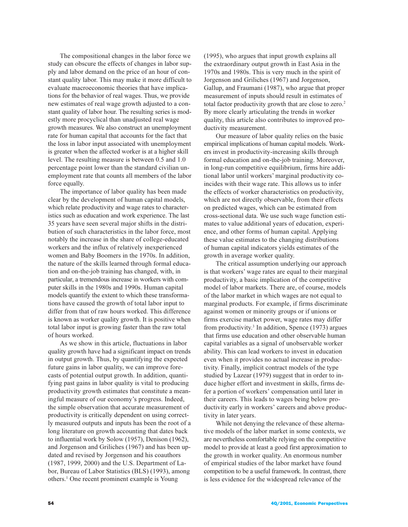The compositional changes in the labor force we study can obscure the effects of changes in labor supply and labor demand on the price of an hour of constant quality labor. This may make it more difficult to evaluate macroeconomic theories that have implications for the behavior of real wages. Thus, we provide new estimates of real wage growth adjusted to a constant quality of labor hour. The resulting series is modestly more procyclical than unadjusted real wage growth measures. We also construct an unemployment rate for human capital that accounts for the fact that the loss in labor input associated with unemployment is greater when the affected worker is at a higher skill level. The resulting measure is between 0.5 and 1.0 percentage point lower than the standard civilian unemployment rate that counts all members of the labor force equally.

The importance of labor quality has been made clear by the development of human capital models, which relate productivity and wage rates to characteristics such as education and work experience. The last 35 years have seen several major shifts in the distribution of such characteristics in the labor force, most notably the increase in the share of college-educated workers and the influx of relatively inexperienced women and Baby Boomers in the 1970s. In addition, the nature of the skills learned through formal education and on-the-job training has changed, with, in particular, a tremendous increase in workers with computer skills in the 1980s and 1990s. Human capital models quantify the extent to which these transformations have caused the growth of total labor input to differ from that of raw hours worked. This difference is known as worker quality growth. It is positive when total labor input is growing faster than the raw total of hours worked.

As we show in this article, fluctuations in labor quality growth have had a significant impact on trends in output growth. Thus, by quantifying the expected future gains in labor quality, we can improve forecasts of potential output growth. In addition, quantifying past gains in labor quality is vital to producing productivity growth estimates that constitute a meaningful measure of our economy's progress. Indeed, the simple observation that accurate measurement of productivity is critically dependent on using correctly measured outputs and inputs has been the root of a long literature on growth accounting that dates back to influential work by Solow (1957), Denison (1962), and Jorgenson and Griliches (1967) and has been updated and revised by Jorgenson and his coauthors (1987, 1999, 2000) and the U.S. Department of Labor, Bureau of Labor Statistics (BLS) (1993), among others.<sup>1</sup> One recent prominent example is Young

(1995), who argues that input growth explains all the extraordinary output growth in East Asia in the 1970s and 1980s. This is very much in the spirit of Jorgenson and Griliches (1967) and Jorgenson, Gallup, and Fraumani (1987), who argue that proper measurement of inputs should result in estimates of total factor productivity growth that are close to zero.<sup>2</sup> By more clearly articulating the trends in worker quality, this article also contributes to improved productivity measurement.

Our measure of labor quality relies on the basic empirical implications of human capital models. Workers invest in productivity-increasing skills through formal education and on-the-job training. Moreover, in long-run competitive equilibrium, firms hire additional labor until workers' marginal productivity coincides with their wage rate. This allows us to infer the effects of worker characteristics on productivity, which are not directly observable, from their effects on predicted wages, which can be estimated from cross-sectional data. We use such wage function estimates to value additional years of education, experience, and other forms of human capital. Applying these value estimates to the changing distributions of human capital indicators yields estimates of the growth in average worker quality.

The critical assumption underlying our approach is that workers' wage rates are equal to their marginal productivity, a basic implication of the competitive model of labor markets. There are, of course, models of the labor market in which wages are not equal to marginal products. For example, if firms discriminate against women or minority groups or if unions or firms exercise market power, wage rates may differ from productivity.<sup>3</sup> In addition, Spence  $(1973)$  argues that firms use education and other observable human capital variables as a signal of unobservable worker ability. This can lead workers to invest in education even when it provides no actual increase in productivity. Finally, implicit contract models of the type studied by Lazear (1979) suggest that in order to induce higher effort and investment in skills, firms defer a portion of workers' compensation until later in their careers. This leads to wages being below productivity early in workers' careers and above productivity in later years.

While not denying the relevance of these alternative models of the labor market in some contexts, we are nevertheless comfortable relying on the competitive model to provide at least a good first approximation to the growth in worker quality. An enormous number of empirical studies of the labor market have found competition to be a useful framework. In contrast, there is less evidence for the widespread relevance of the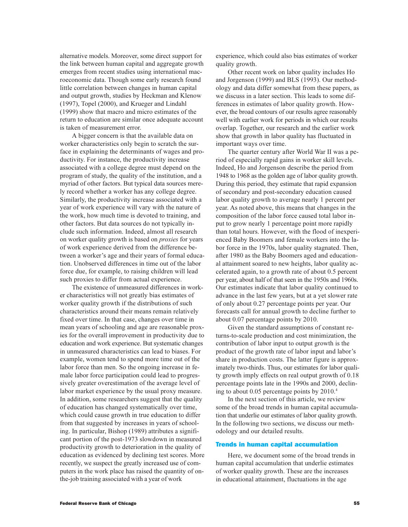alternative models. Moreover, some direct support for the link between human capital and aggregate growth emerges from recent studies using international macroeconomic data. Though some early research found little correlation between changes in human capital and output growth, studies by Heckman and Klenow (1997), Topel (2000), and Krueger and Lindahl (1999) show that macro and micro estimates of the return to education are similar once adequate account is taken of measurement error.

A bigger concern is that the available data on worker characteristics only begin to scratch the surface in explaining the determinants of wages and productivity. For instance, the productivity increase associated with a college degree must depend on the program of study, the quality of the institution, and a myriad of other factors. But typical data sources merely record whether a worker has any college degree. Similarly, the productivity increase associated with a year of work experience will vary with the nature of the work, how much time is devoted to training, and other factors. But data sources do not typically include such information. Indeed, almost all research on worker quality growth is based on *proxies* for years of work experience derived from the difference between a worker's age and their years of formal education. Unobserved differences in time out of the labor force due, for example, to raising children will lead such proxies to differ from actual experience.

The existence of unmeasured differences in worker characteristics will not greatly bias estimates of worker quality growth if the distributions of such characteristics around their means remain relatively fixed over time. In that case, changes over time in mean years of schooling and age are reasonable proxies for the overall improvement in productivity due to education and work experience. But systematic changes in unmeasured characteristics can lead to biases. For example, women tend to spend more time out of the labor force than men. So the ongoing increase in female labor force participation could lead to progressively greater overestimation of the average level of labor market experience by the usual proxy measure. In addition, some researchers suggest that the quality of education has changed systematically over time, which could cause growth in true education to differ from that suggested by increases in years of schooling. In particular, Bishop (1989) attributes a significant portion of the post-1973 slowdown in measured productivity growth to deterioration in the quality of education as evidenced by declining test scores. More recently, we suspect the greatly increased use of computers in the work place has raised the quantity of onthe-job training associated with a year of work

experience, which could also bias estimates of worker quality growth.

Other recent work on labor quality includes Ho and Jorgenson (1999) and BLS (1993). Our methodology and data differ somewhat from these papers, as we discuss in a later section. This leads to some differences in estimates of labor quality growth. However, the broad contours of our results agree reasonably well with earlier work for periods in which our results overlap. Together, our research and the earlier work show that growth in labor quality has fluctuated in important ways over time.

The quarter century after World War II was a period of especially rapid gains in worker skill levels. Indeed, Ho and Jorgenson describe the period from 1948 to 1968 as the golden age of labor quality growth. During this period, they estimate that rapid expansion of secondary and post-secondary education caused labor quality growth to average nearly 1 percent per year. As noted above, this means that changes in the composition of the labor force caused total labor input to grow nearly 1 percentage point more rapidly than total hours. However, with the flood of inexperienced Baby Boomers and female workers into the labor force in the 1970s, labor quality stagnated. Then, after 1980 as the Baby Boomers aged and educational attainment soared to new heights, labor quality accelerated again, to a growth rate of about 0.5 percent per year, about half of that seen in the 1950s and 1960s. Our estimates indicate that labor quality continued to advance in the last few years, but at a yet slower rate of only about 0.27 percentage points per year. Our forecasts call for annual growth to decline further to about 0.07 percentage points by 2010.

Given the standard assumptions of constant returns-to-scale production and cost minimization, the contribution of labor input to output growth is the product of the growth rate of labor input and labor's share in production costs. The latter figure is approximately two-thirds. Thus, our estimates for labor quality growth imply effects on real output growth of 0.18 percentage points late in the 1990s and 2000, declining to about 0.05 percentage points by  $2010.<sup>4</sup>$ 

In the next section of this article, we review some of the broad trends in human capital accumulation that underlie our estimates of labor quality growth. In the following two sections, we discuss our methodology and our detailed results.

### **Trends in human capital accumulation**

Here, we document some of the broad trends in human capital accumulation that underlie estimates of worker quality growth. These are the increases in educational attainment, fluctuations in the age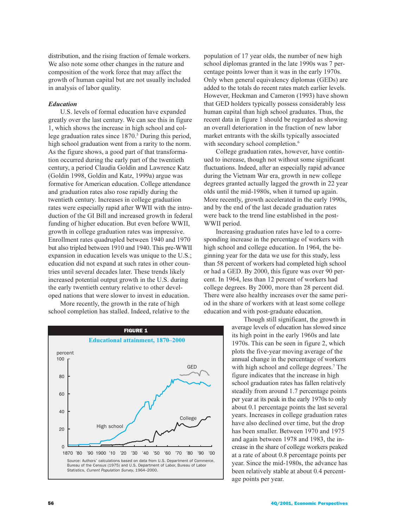distribution, and the rising fraction of female workers. We also note some other changes in the nature and composition of the work force that may affect the growth of human capital but are not usually included in analysis of labor quality.

### **Education**

U.S. levels of formal education have expanded greatly over the last century. We can see this in figure 1, which shows the increase in high school and college graduation rates since 1870.<sup>5</sup> During this period, high school graduation went from a rarity to the norm. As the figure shows, a good part of that transformation occurred during the early part of the twentieth century, a period Claudia Goldin and Lawrence Katz (Goldin 1998, Goldin and Katz, 1999a) argue was formative for American education. College attendance and graduation rates also rose rapidly during the twentieth century. Increases in college graduation rates were especially rapid after WWII with the introduction of the GI Bill and increased growth in federal funding of higher education. But even before WWII, growth in college graduation rates was impressive. Enrollment rates quadrupled between 1940 and 1970 but also tripled between 1910 and 1940. This pre-WWII expansion in education levels was unique to the U.S.; education did not expand at such rates in other countries until several decades later. These trends likely increased potential output growth in the U.S. during the early twentieth century relative to other developed nations that were slower to invest in education.

More recently, the growth in the rate of high school completion has stalled. Indeed, relative to the



population of 17 year olds, the number of new high school diplomas granted in the late 1990s was 7 percentage points lower than it was in the early 1970s. Only when general equivalency diplomas (GEDs) are added to the totals do recent rates match earlier levels. However, Heckman and Cameron (1993) have shown that GED holders typically possess considerably less human capital than high school graduates. Thus, the recent data in figure 1 should be regarded as showing an overall deterioration in the fraction of new labor market entrants with the skills typically associated with secondary school completion.<sup>6</sup>

College graduation rates, however, have continued to increase, though not without some significant fluctuations. Indeed, after an especially rapid advance during the Vietnam War era, growth in new college degrees granted actually lagged the growth in 22 year olds until the mid-1980s, when it turned up again. More recently, growth accelerated in the early 1990s, and by the end of the last decade graduation rates were back to the trend line established in the post-WWII period.

Increasing graduation rates have led to a corresponding increase in the percentage of workers with high school and college education. In 1964, the beginning year for the data we use for this study, less than 58 percent of workers had completed high school or had a GED. By 2000, this figure was over 90 percent. In 1964, less than 12 percent of workers had college degrees. By 2000, more than 28 percent did. There were also healthy increases over the same period in the share of workers with at least some college education and with post-graduate education.

> Though still significant, the growth in average levels of education has slowed since its high point in the early 1960s and late 1970s. This can be seen in figure 2, which plots the five-year moving average of the annual change in the percentage of workers with high school and college degrees.<sup>7</sup> The figure indicates that the increase in high school graduation rates has fallen relatively steadily from around 1.7 percentage points per year at its peak in the early 1970s to only about 0.1 percentage points the last several years. Increases in college graduation rates have also declined over time, but the drop has been smaller. Between 1970 and 1975 and again between 1978 and 1983, the increase in the share of college workers peaked at a rate of about 0.8 percentage points per year. Since the mid-1980s, the advance has been relatively stable at about 0.4 percentage points per year.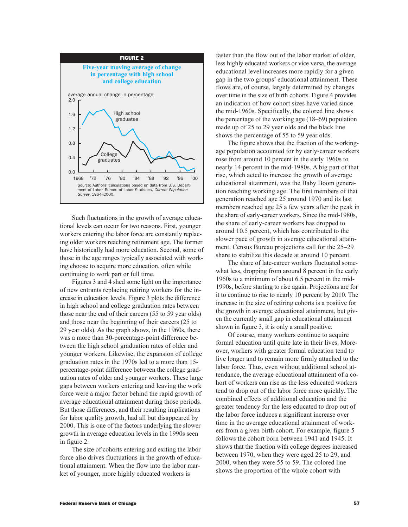

Such fluctuations in the growth of average educational levels can occur for two reasons. First, younger workers entering the labor force are constantly replacing older workers reaching retirement age. The former have historically had more education. Second, some of those in the age ranges typically associated with working choose to acquire more education, often while continuing to work part or full time.

Figures 3 and 4 shed some light on the importance of new entrants replacing retiring workers for the increase in education levels. Figure 3 plots the difference in high school and college graduation rates between those near the end of their careers (55 to 59 year olds) and those near the beginning of their careers (25 to 29 year olds). As the graph shows, in the 1960s, there was a more than 30-percentage-point difference between the high school graduation rates of older and younger workers. Likewise, the expansion of college graduation rates in the 1970s led to a more than 15percentage-point difference between the college graduation rates of older and younger workers. These large gaps between workers entering and leaving the work force were a major factor behind the rapid growth of average educational attainment during those periods. But those differences, and their resulting implications for labor quality growth, had all but disappeared by 2000. This is one of the factors underlying the slower growth in average education levels in the 1990s seen in figure 2.

The size of cohorts entering and exiting the labor force also drives fluctuations in the growth of educational attainment. When the flow into the labor market of younger, more highly educated workers is

faster than the flow out of the labor market of older, less highly educated workers or vice versa, the average educational level increases more rapidly for a given gap in the two groups' educational attainment. These flows are, of course, largely determined by changes over time in the size of birth cohorts. Figure 4 provides an indication of how cohort sizes have varied since the mid-1960s. Specifically, the colored line shows the percentage of the working age  $(18-69)$  population made up of 25 to 29 year olds and the black line shows the percentage of 55 to 59 year olds.

The figure shows that the fraction of the workingage population accounted for by early-career workers rose from around 10 percent in the early 1960s to nearly 14 percent in the mid-1980s. A big part of that rise, which acted to increase the growth of average educational attainment, was the Baby Boom generation reaching working age. The first members of that generation reached age 25 around 1970 and its last members reached age 25 a few years after the peak in the share of early-career workers. Since the mid-1980s, the share of early-career workers has dropped to around 10.5 percent, which has contributed to the slower pace of growth in average educational attainment. Census Bureau projections call for the 25–29 share to stabilize this decade at around 10 percent.

The share of late-career workers fluctuated somewhat less, dropping from around 8 percent in the early 1960s to a minimum of about 6.5 percent in the mid-1990s, before starting to rise again. Projections are for it to continue to rise to nearly 10 percent by 2010. The increase in the size of retiring cohorts is a positive for the growth in average educational attainment, but given the currently small gap in educational attainment shown in figure 3, it is only a small positive.

Of course, many workers continue to acquire formal education until quite late in their lives. Moreover, workers with greater formal education tend to live longer and to remain more firmly attached to the labor force. Thus, even without additional school attendance, the average educational attainment of a cohort of workers can rise as the less educated workers tend to drop out of the labor force more quickly. The combined effects of additional education and the greater tendency for the less educated to drop out of the labor force induces a significant increase over time in the average educational attainment of workers from a given birth cohort. For example, figure 5 follows the cohort born between 1941 and 1945. It shows that the fraction with college degrees increased between 1970, when they were aged 25 to 29, and 2000, when they were 55 to 59. The colored line shows the proportion of the whole cohort with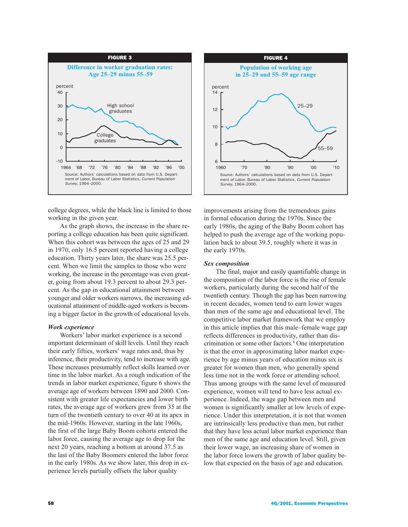

college degrees, while the black line is limited to those working in the given year.

As the graph shows, the increase in the share reporting a college education has been quite significant. When this cohort was between the ages of  $25$  and  $29$ in 1970, only 16.5 percent reported having a college education. Thirty years later, the share was 25.5 percent. When we limit the samples to those who were working, the increase in the percentage was even greater, going from about 19.3 percent to about 29.3 percent. As the gap in educational attainment between younger and older workers narrows, the increasing educational attainment of middle-aged workers is becoming a bigger factor in the growth of educational levels.

# **Work** experience

Workers' labor market experience is a second important determinant of skill levels. Until they reach their early fifties, workers' wage rates and, thus by inference, their productivity, tend to increase with age. These increases presumably reflect skills learned over time in the labor market. As a rough indication of the trends in labor market experience, figure 6 shows the average age of workers between 1890 and 2000. Consistent with greater life expectancies and lower birth rates, the average age of workers grew from 35 at the turn of the twentieth century to over 40 at its apex in the mid-1960s. However, starting in the late 1960s, the first of the large Baby Boom cohorts entered the labor force, causing the average age to drop for the next 20 years, reaching a bottom at around  $37.5$  as the last of the Baby Boomers entered the labor force in the early 1980s. As we show later, this drop in experience levels partially offsets the labor quality



improvements arising from the tremendous gains in formal education during the  $19/0s$ . Since the early 1980s, the aging of the Baby Boom cohort has helped to push the average age of the working population back to about 39.5, roughly where it was in the early  $19/0s$ .

# Sex composition

The final, major and easily quantifiable change in the composition of the labor force is the rise of female workers, particularly during the second half of the twentieth century. Though the gap has been narrowing in recent decades, women tend to earn lower wages than men of the same age and educational level. The competitive labor market framework that we employ in this article implies that this male–female wage gap reflects differences in productivity, rather than discrimination or some other factors.<sup>8</sup> One interpretation is that the error in approximating labor market experience by age minus years of education minus six is greater for women than men, who generally spend less time not in the work force or attending school. Thus among groups with the same level of measured experience, women will tend to have less actual experience. Indeed, the wage gap between men and women is significantly smaller at low levels of experience. Under this interpretation, it is not that women are intrinsically less productive than men, but rather that they have less actual labor market experience than men of the same age and education level. Still, given their lower wage, an increasing share of women in the labor force lowers the growth of labor quality below that expected on the basis of age and education.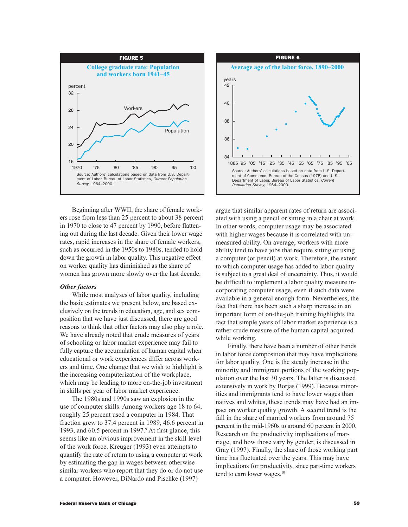

Beginning after WWII, the share of female workers rose from less than 25 percent to about 38 percent in 1970 to close to 47 percent by 1990, before flattening out during the last decade. Given their lower wage rates, rapid increases in the share of female workers, such as occurred in the 1950s to 1980s, tended to hold down the growth in labor quality. This negative effect on worker quality has diminished as the share of women has grown more slowly over the last decade.

### **Other factors**

While most analyses of labor quality, including the basic estimates we present below, are based exclusively on the trends in education, age, and sex composition that we have just discussed, there are good reasons to think that other factors may also play a role. We have already noted that crude measures of years of schooling or labor market experience may fail to fully capture the accumulation of human capital when educational or work experiences differ across workers and time. One change that we wish to highlight is the increasing computerization of the workplace, which may be leading to more on-the-job investment in skills per year of labor market experience.

The 1980s and 1990s saw an explosion in the use of computer skills. Among workers age 18 to 64, roughly 25 percent used a computer in 1984. That fraction grew to 37.4 percent in 1989, 46.6 percent in 1993, and 60.5 percent in 1997.<sup>9</sup> At first glance, this seems like an obvious improvement in the skill level of the work force. Kreuger (1993) even attempts to quantify the rate of return to using a computer at work by estimating the gap in wages between otherwise similar workers who report that they do or do not use a computer. However, DiNardo and Pischke (1997).



argue that similar apparent rates of return are associated with using a pencil or sitting in a chair at work. In other words, computer usage may be associated with higher wages because it is correlated with unmeasured ability. On average, workers with more ability tend to have jobs that require sitting or using a computer (or pencil) at work. Therefore, the extent to which computer usage has added to labor quality is subject to a great deal of uncertainty. Thus, it would be difficult to implement a labor quality measure incorporating computer usage, even if such data were available in a general enough form. Nevertheless, the fact that there has been such a sharp increase in an important form of on-the-job training highlights the fact that simple years of labor market experience is a rather crude measure of the human capital acquired while working.

Finally, there have been a number of other trends in labor force composition that may have implications for labor quality. One is the steady increase in the minority and immigrant portions of the working population over the last 30 years. The latter is discussed extensively in work by Borjas (1999). Because minorities and immigrants tend to have lower wages than natives and whites, these trends may have had an impact on worker quality growth. A second trend is the fall in the share of married workers from around 75 percent in the mid-1960s to around 60 percent in 2000. Research on the productivity implications of marriage, and how those vary by gender, is discussed in Gray (1997). Finally, the share of those working part time has fluctuated over the years. This may have implications for productivity, since part-time workers tend to earn lower wages.<sup>10</sup>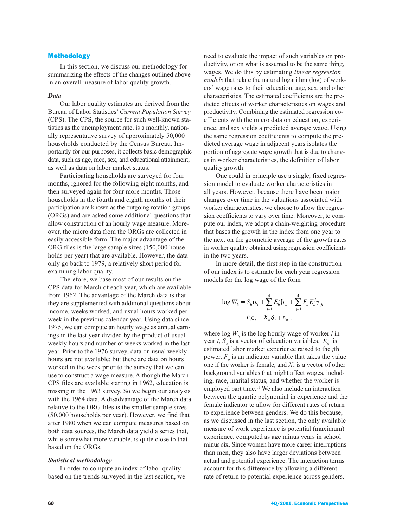### **Methodology**

In this section, we discuss our methodology for summarizing the effects of the changes outlined above in an overall measure of labor quality growth.

#### Data

Our labor quality estimates are derived from the Bureau of Labor Statistics' Current Population Survey (CPS). The CPS, the source for such well-known statistics as the unemployment rate, is a monthly, nationally representative survey of approximately 50,000 households conducted by the Census Bureau. Importantly for our purposes, it collects basic demographic data, such as age, race, sex, and educational attainment, as well as data on labor market status.

Participating households are surveyed for four months, ignored for the following eight months, and then surveyed again for four more months. Those households in the fourth and eighth months of their participation are known as the outgoing rotation groups (ORGs) and are asked some additional questions that allow construction of an hourly wage measure. Moreover, the micro data from the ORGs are collected in easily accessible form. The major advantage of the ORG files is the large sample sizes (150,000 households per year) that are available. However, the data only go back to 1979, a relatively short period for examining labor quality.

Therefore, we base most of our results on the CPS data for March of each year, which are available from 1962. The advantage of the March data is that they are supplemented with additional questions about income, weeks worked, and usual hours worked per week in the previous calendar year. Using data since 1975, we can compute an hourly wage as annual earnings in the last year divided by the product of usual weekly hours and number of weeks worked in the last year. Prior to the 1976 survey, data on usual weekly hours are not available; but there are data on hours worked in the week prior to the survey that we can use to construct a wage measure. Although the March CPS files are available starting in 1962, education is missing in the 1963 survey. So we begin our analysis with the 1964 data. A disadvantage of the March data relative to the ORG files is the smaller sample sizes (50,000 households per year). However, we find that after 1980 when we can compute measures based on both data sources, the March data yield a series that, while somewhat more variable, is quite close to that based on the ORGs.

### **Statistical methodology**

In order to compute an index of labor quality based on the trends surveyed in the last section, we

need to evaluate the impact of such variables on productivity, or on what is assumed to be the same thing, wages. We do this by estimating *linear regression* models that relate the natural logarithm (log) of workers' wage rates to their education, age, sex, and other characteristics. The estimated coefficients are the predicted effects of worker characteristics on wages and productivity. Combining the estimated regression coefficients with the micro data on education, experience, and sex yields a predicted average wage. Using the same regression coefficients to compute the predicted average wage in adjacent years isolates the portion of aggregate wage growth that is due to changes in worker characteristics, the definition of labor quality growth.

One could in principle use a single, fixed regression model to evaluate worker characteristics in all years. However, because there have been major changes over time in the valuations associated with worker characteristics, we choose to allow the regression coefficients to vary over time. Moreover, to compute our index, we adopt a chain-weighting procedure that bases the growth in the index from one year to the next on the geometric average of the growth rates in worker quality obtained using regression coefficients in the two years.

In more detail, the first step in the construction of our index is to estimate for each year regression models for the log wage of the form

$$
\log W_{it} = S_{it}\alpha_t + \sum_{j=1}^4 E_{it}^j \beta_{jt} + \sum_{j=1}^4 F_{it} E_{it}^j \gamma_{jt} +
$$
  

$$
F_i \phi_t + X_{it} \delta_t + \varepsilon_{it} ,
$$

where  $\log W_{i}$  is the log hourly wage of worker *i* in year t,  $S_{ii}$  is a vector of education variables,  $E_{ii}^j$  is estimated labor market experience raised to the *j*th power,  $F_{\mu}$  is an indicator variable that takes the value one if the worker is female, and  $X_{\mu}$  is a vector of other background variables that might affect wages, including, race, marital status, and whether the worker is employed part time.<sup>11</sup> We also include an interaction between the quartic polynomial in experience and the female indicator to allow for different rates of return to experience between genders. We do this because, as we discussed in the last section, the only available measure of work experience is potential (maximum) experience, computed as age minus years in school minus six. Since women have more career interruptions than men, they also have larger deviations between actual and potential experience. The interaction terms account for this difference by allowing a different rate of return to potential experience across genders.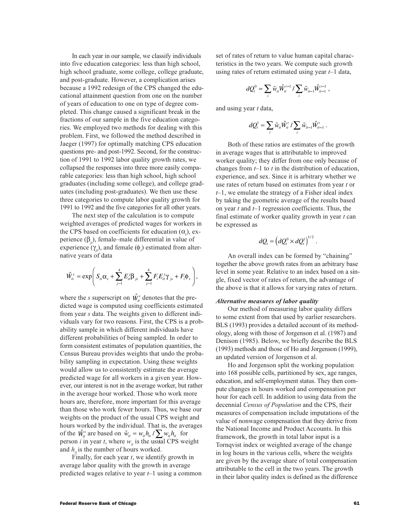In each year in our sample, we classify individuals into five education categories: less than high school, high school graduate, some college, college graduate, and post-graduate. However, a complication arises because a 1992 redesign of the CPS changed the educational attainment question from one on the number of years of education to one on type of degree completed. This change caused a significant break in the fractions of our sample in the five education categories. We employed two methods for dealing with this problem. First, we followed the method described in Jaeger (1997) for optimally matching CPS education questions pre- and post-1992. Second, for the construction of 1991 to 1992 labor quality growth rates, we collapsed the responses into three more easily comparable categories: less than high school, high school graduates (including some college), and college graduates (including post-graduates). We then use these three categories to compute labor quality growth for 1991 to 1992 and the five categories for all other years.

The next step of the calculation is to compute weighted averages of predicted wages for workers in the CPS based on coefficients for education  $(\alpha)$ , experience  $(\beta_{\ldots})$ , female–male differential in value of experience  $(\gamma_a)$ , and female  $(\phi_a)$  estimated from alternative years of data

$$
\hat{W}_{it}^s = \exp \bigg( S_{it} \alpha_s + \sum_{j=1}^4 E_{it}^j \beta_{js} + \sum_{j=1}^4 F_i E_{it}^j \gamma_{js} + F_i \phi_s \bigg),
$$

where the *s* superscript on  $\hat{W}_{it}^s$  denotes that the predicted wage is computed using coefficients estimated from year s data. The weights given to different individuals vary for two reasons. First, the CPS is a probability sample in which different individuals have different probabilities of being sampled. In order to form consistent estimates of population quantities, the Census Bureau provides weights that undo the probability sampling in expectation. Using these weights would allow us to consistently estimate the average predicted wage for all workers in a given year. However, our interest is not in the average worker, but rather in the average hour worked. Those who work more hours are, therefore, more important for this average than those who work fewer hours. Thus, we base our weights on the product of the usual CPS weight and hours worked by the individual. That is, the averages of the  $\hat{W}_{it}^s$  are based on  $\tilde{w}_{it} = w_{it} h_{it} / \sum w_{it} h_{it}$  for person *i* in year *t*, where  $w_{i}$  is the usual CPS weight and  $h_{\mu}$  is the number of hours worked.

Finally, for each year  $t$ , we identify growth in average labor quality with the growth in average predicted wages relative to year  $t-1$  using a common

set of rates of return to value human capital characteristics in the two years. We compute such growth using rates of return estimated using year  $t-1$  data,

$$
dQ_t^0 = \sum_i \tilde{w}_{ii} \hat{W}_{it}^{t-1} / \sum_i \tilde{w}_{it-1} \hat{W}_{it-1}^{t-1},
$$

and using year t data,

$$
dQ_t^1 = \sum_i \tilde{w}_{ii} \hat{W}_{ii}^t / \sum_i \tilde{w}_{it-1} \hat{W}_{it-1}^t
$$

Both of these ratios are estimates of the growth in average wages that is attributable to improved worker quality; they differ from one only because of changes from  $t-1$  to t in the distribution of education, experience, and sex. Since it is arbitrary whether we use rates of return based on estimates from year t or  $t-1$ , we emulate the strategy of a Fisher ideal index by taking the geometric average of the results based on year  $t$  and  $t-1$  regression coefficients. Thus, the final estimate of worker quality growth in year  $t$  can be expressed as

$$
dQ_t = \left(dQ_t^0 \times dQ_t^1\right)^{1/2}
$$

An overall index can be formed by "chaining" together the above growth rates from an arbitrary base level in some year. Relative to an index based on a single, fixed vector of rates of return, the advantage of the above is that it allows for varying rates of return.

#### *Alternative measures of labor quality*

Our method of measuring labor quality differs to some extent from that used by earlier researchers. BLS (1993) provides a detailed account of its methodology, along with those of Jorgenson et al. (1987) and Denison (1985). Below, we briefly describe the BLS (1993) methods and those of Ho and Jorgenson (1999), an updated version of Jorgenson et al.

Ho and Jorgenson split the working population into 168 possible cells, partitioned by sex, age ranges, education, and self-employment status. They then compute changes in hours worked and compensation per hour for each cell. In addition to using data from the decennial Census of Population and the CPS, their measures of compensation include imputations of the value of nonwage compensation that they derive from the National Income and Product Accounts. In this framework, the growth in total labor input is a Tornqvist index or weighted average of the change in log hours in the various cells, where the weights are given by the average share of total compensation attributable to the cell in the two years. The growth in their labor quality index is defined as the difference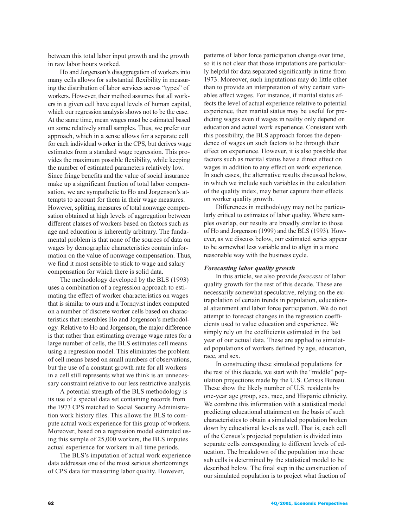between this total labor input growth and the growth in raw labor hours worked.

Ho and Jorgenson's disaggregation of workers into many cells allows for substantial flexibility in measuring the distribution of labor services across "types" of workers. However, their method assumes that all workers in a given cell have equal levels of human capital, which our regression analysis shows not to be the case. At the same time, mean wages must be estimated based on some relatively small samples. Thus, we prefer our approach, which in a sense allows for a separate cell for each individual worker in the CPS, but derives wage estimates from a standard wage regression. This provides the maximum possible flexibility, while keeping the number of estimated parameters relatively low. Since fringe benefits and the value of social insurance make up a significant fraction of total labor compensation, we are sympathetic to Ho and Jorgenson's attempts to account for them in their wage measures. However, splitting measures of total nonwage compensation obtained at high levels of aggregation between different classes of workers based on factors such as age and education is inherently arbitrary. The fundamental problem is that none of the sources of data on wages by demographic characteristics contain information on the value of nonwage compensation. Thus, we find it most sensible to stick to wage and salary compensation for which there is solid data.

The methodology developed by the BLS (1993) uses a combination of a regression approach to estimating the effect of worker characteristics on wages that is similar to ours and a Tornqvist index computed on a number of discrete worker cells based on characteristics that resembles Ho and Jorgenson's methodology. Relative to Ho and Jorgenson, the major difference is that rather than estimating average wage rates for a large number of cells, the BLS estimates cell means using a regression model. This eliminates the problem of cell means based on small numbers of observations, but the use of a constant growth rate for all workers in a cell still represents what we think is an unnecessary constraint relative to our less restrictive analysis.

A potential strength of the BLS methodology is its use of a special data set containing records from the 1973 CPS matched to Social Security Administration work history files. This allows the BLS to compute actual work experience for this group of workers. Moreover, based on a regression model estimated using this sample of 25,000 workers, the BLS imputes actual experience for workers in all time periods.

The BLS's imputation of actual work experience data addresses one of the most serious shortcomings of CPS data for measuring labor quality. However,

patterns of labor force participation change over time, so it is not clear that those imputations are particularly helpful for data separated significantly in time from 1973. Moreover, such imputations may do little other than to provide an interpretation of why certain variables affect wages. For instance, if marital status affects the level of actual experience relative to potential experience, then marital status may be useful for predicting wages even if wages in reality only depend on education and actual work experience. Consistent with this possibility, the BLS approach forces the dependence of wages on such factors to be through their effect on experience. However, it is also possible that factors such as marital status have a direct effect on wages in addition to any effect on work experience. In such cases, the alternative results discussed below, in which we include such variables in the calculation of the quality index, may better capture their effects on worker quality growth.

Differences in methodology may not be particularly critical to estimates of labor quality. Where samples overlap, our results are broadly similar to those of Ho and Jorgenson (1999) and the BLS (1993). However, as we discuss below, our estimated series appear to be somewhat less variable and to align in a more reasonable way with the business cycle.

### **Forecasting labor quality growth**

In this article, we also provide *forecasts* of labor quality growth for the rest of this decade. These are necessarily somewhat speculative, relying on the extrapolation of certain trends in population, educational attainment and labor force participation. We do not attempt to forecast changes in the regression coefficients used to value education and experience. We simply rely on the coefficients estimated in the last year of our actual data. These are applied to simulated populations of workers defined by age, education, race, and sex.

In constructing these simulated populations for the rest of this decade, we start with the "middle" population projections made by the U.S. Census Bureau. These show the likely number of U.S. residents by one-year age group, sex, race, and Hispanic ethnicity. We combine this information with a statistical model predicting educational attainment on the basis of such characteristics to obtain a simulated population broken down by educational levels as well. That is, each cell of the Census's projected population is divided into separate cells corresponding to different levels of education. The breakdown of the population into these sub cells is determined by the statistical model to be described below. The final step in the construction of our simulated population is to project what fraction of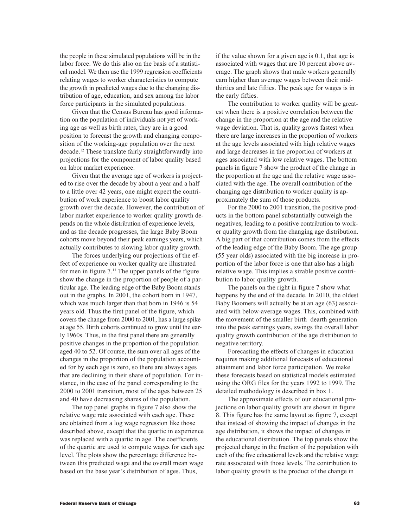the people in these simulated populations will be in the labor force. We do this also on the basis of a statistical model. We then use the 1999 regression coefficients relating wages to worker characteristics to compute the growth in predicted wages due to the changing distribution of age, education, and sex among the labor force participants in the simulated populations.

Given that the Census Bureau has good information on the population of individuals not yet of working age as well as birth rates, they are in a good position to forecast the growth and changing composition of the working-age population over the next decade.<sup>12</sup> These translate fairly straightforwardly into projections for the component of labor quality based on labor market experience.

Given that the average age of workers is projected to rise over the decade by about a year and a half to a little over 42 years, one might expect the contribution of work experience to boost labor quality growth over the decade. However, the contribution of labor market experience to worker quality growth depends on the whole distribution of experience levels, and as the decade progresses, the large Baby Boom cohorts move beyond their peak earnings years, which actually contributes to slowing labor quality growth.

The forces underlying our projections of the effect of experience on worker quality are illustrated for men in figure 7.<sup>13</sup> The upper panels of the figure show the change in the proportion of people of a particular age. The leading edge of the Baby Boom stands out in the graphs. In 2001, the cohort born in 1947, which was much larger than that born in 1946 is 54 years old. Thus the first panel of the figure, which covers the change from 2000 to 2001, has a large spike at age 55. Birth cohorts continued to grow until the early 1960s. Thus, in the first panel there are generally positive changes in the proportion of the population aged 40 to 52. Of course, the sum over all ages of the changes in the proportion of the population accounted for by each age is zero, so there are always ages that are declining in their share of population. For instance, in the case of the panel corresponding to the 2000 to 2001 transition, most of the ages between 25 and 40 have decreasing shares of the population.

The top panel graphs in figure 7 also show the relative wage rate associated with each age. These are obtained from a log wage regression like those described above, except that the quartic in experience was replaced with a quartic in age. The coefficients of the quartic are used to compute wages for each age level. The plots show the percentage difference between this predicted wage and the overall mean wage based on the base year's distribution of ages. Thus,

if the value shown for a given age is 0.1, that age is associated with wages that are 10 percent above average. The graph shows that male workers generally earn higher than average wages between their midthirties and late fifties. The peak age for wages is in the early fifties.

The contribution to worker quality will be greatest when there is a positive correlation between the change in the proportion at the age and the relative wage deviation. That is, quality grows fastest when there are large increases in the proportion of workers at the age levels associated with high relative wages and large decreases in the proportion of workers at ages associated with low relative wages. The bottom panels in figure 7 show the product of the change in the proportion at the age and the relative wage associated with the age. The overall contribution of the changing age distribution to worker quality is approximately the sum of those products.

For the 2000 to 2001 transition, the positive products in the bottom panel substantially outweigh the negatives, leading to a positive contribution to worker quality growth from the changing age distribution. A big part of that contribution comes from the effects of the leading edge of the Baby Boom. The age group (55 year olds) associated with the big increase in proportion of the labor force is one that also has a high relative wage. This implies a sizable positive contribution to labor quality growth.

The panels on the right in figure 7 show what happens by the end of the decade. In 2010, the oldest Baby Boomers will actually be at an age (63) associated with below-average wages. This, combined with the movement of the smaller birth-dearth generation into the peak earnings years, swings the overall labor quality growth contribution of the age distribution to negative territory.

Forecasting the effects of changes in education requires making additional forecasts of educational attainment and labor force participation. We make these forecasts based on statistical models estimated using the ORG files for the years 1992 to 1999. The detailed methodology is described in box 1.

The approximate effects of our educational projections on labor quality growth are shown in figure 8. This figure has the same layout as figure 7, except that instead of showing the impact of changes in the age distribution, it shows the impact of changes in the educational distribution. The top panels show the projected change in the fraction of the population with each of the five educational levels and the relative wage rate associated with those levels. The contribution to labor quality growth is the product of the change in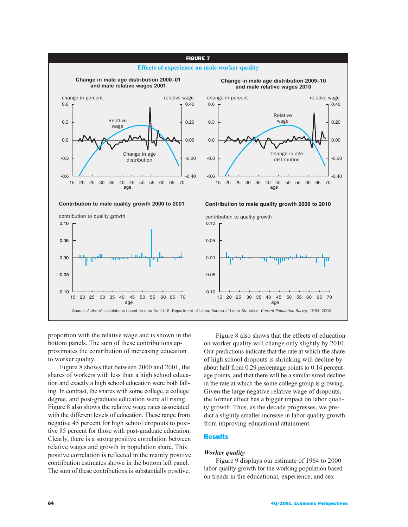

proportion with the relative wage and is shown in the bottom panels. The sum of these contributions approximates the contribution of increasing education to worker quality.

Figure 8 shows that between 2000 and 2001, the shares of workers with less than a high school education and exactly a high school education were both falling. In contrast, the shares with some college, a college degree, and post-graduate education were all rising. Figure 8 also shows the relative wage rates associated with the different levels of education. These range from negative 45 percent for high school dropouts to positive 85 percent for those with post-graduate education. Clearly, there is a strong positive correlation between relative wages and growth in population share. This positive correlation is reflected in the mainly positive contribution estimates shown in the bottom left panel. The sum of these contributions is substantially positive.

Figure 8 also shows that the effects of education on worker quality will change only slightly by 2010. Our predictions indicate that the rate at which the share of high school dropouts is shrinking will decline by about half from  $0.29$  percentage points to  $0.14$  percentage points, and that there will be a similar sized decline in the rate at which the some college group is growing. Given the large negative relative wage of dropouts, the former effect has a bigger impact on labor quality growth. Thus, as the decade progresses, we predict a slightly smaller increase in labor quality growth from improving educational attainment.

## Results

# **Worker** *auality*

Figure 9 displays our estimate of 1964 to 2000 labor quality growth for the working population based on trends in the educational, experience, and sex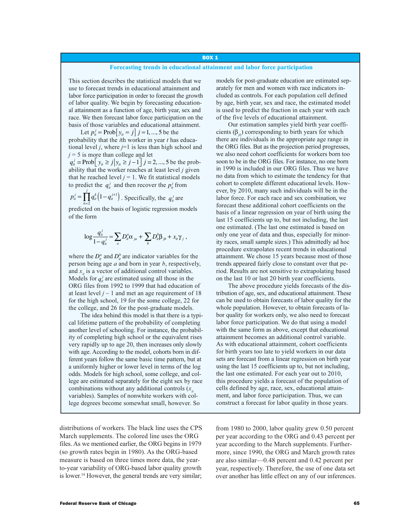### **BOX 1**

## Forecasting trends in educational attainment and labor force participation

This section describes the statistical models that we use to forecast trends in educational attainment and labor force participation in order to forecast the growth of labor quality. We begin by forecasting educational attainment as a function of age, birth year, sex and race. We then forecast labor force participation on the basis of those variables and educational attainment.

Let  $p_{ii}^j = \text{Prob}[y_{ii} = j]$   $j = 1, ..., 5$  be the probability that the  $i$ th worker in year  $t$  has educational level *j*, where  $j=1$  is less than high school and  $j = 5$  is more than college and let

 $q_{ii}^j = \text{Prob}\left[y_{ii} \ge j | y_{ii} \ge j-1\right]$   $j = 2, ..., 5$  be the probability that the worker reaches at least level  $i$  given that he reached level  $i = 1$ . We fit statistical models to predict the  $q_{ii}^j$  and then recover the  $p_{ii}^j$  from

 $p_{ii}^j = \prod_{i=1}^j q_{ii}^k (1 - q_{ii}^{j+1})$ . Specifically, the  $q_{ii}^j$  are predicted on the basis of logistic regression models of the form

$$
\log \frac{q_u^j}{1-q_u^j} = \sum_a D_u^a \alpha_{ja} + \sum_b D_u^b \beta_{jb} + x_u \gamma_j
$$

where the  $D_{ii}^a$  and  $D_{ii}^b$  are indicator variables for the person being age  $a$  and born in year  $b$ , respectively, and  $x_{\alpha}$  is a vector of additional control variables. Models for  $q_i^j$  are estimated using all those in the ORG files from 1992 to 1999 that had education of at least level  $j - 1$  and met an age requirement of 18 for the high school, 19 for the some college, 22 for the college, and 26 for the post-graduate models.

The idea behind this model is that there is a typical lifetime pattern of the probability of completing another level of schooling. For instance, the probability of completing high school or the equivalent rises very rapidly up to age 20, then increases only slowly with age. According to the model, cohorts born in different years follow the same basic time pattern, but at a uniformly higher or lower level in terms of the log odds. Models for high school, some college, and college are estimated separately for the eight sex by race combinations without any additional controls  $(x)$ . variables). Samples of nonwhite workers with college degrees become somewhat small, however. So

distributions of workers. The black line uses the CPS March supplements. The colored line uses the ORG files. As we mentioned earlier, the ORG begins in 1979 (so growth rates begin in 1980). As the ORG-based measure is based on three times more data, the yearto-year variability of ORG-based labor quality growth is lower.<sup>14</sup> However, the general trends are very similar; models for post-graduate education are estimated separately for men and women with race indicators included as controls. For each population cell defined by age, birth year, sex and race, the estimated model is used to predict the fraction in each year with each of the five levels of educational attainment.

Our estimation samples yield birth year coefficients  $(\beta_{ik})$  corresponding to birth years for which there are individuals in the appropriate age range in the ORG files. But as the projection period progresses, we also need cohort coefficients for workers born too soon to be in the ORG files. For instance, no one born in 1990 is included in our ORG files. Thus we have no data from which to estimate the tendency for that cohort to complete different educational levels. However, by 2010, many such individuals will be in the labor force. For each race and sex combination, we forecast these additional cohort coefficients on the basis of a linear regression on year of birth using the last 15 coefficients up to, but not including, the last one estimated. (The last one estimated is based on only one year of data and thus, especially for minority races, small sample sizes.) This admittedly ad hoc procedure extrapolates recent trends in educational attainment. We chose 15 years because most of those trends appeared fairly close to constant over that period. Results are not sensitive to extrapolating based on the last 10 or last 20 birth year coefficients.

The above procedure yields forecasts of the distribution of age, sex, and educational attainment. These can be used to obtain forecasts of labor quality for the whole population. However, to obtain forecasts of labor quality for workers only, we also need to forecast labor force participation. We do that using a model with the same form as above, except that educational attainment becomes an additional control variable. As with educational attainment, cohort coefficients for birth years too late to yield workers in our data sets are forecast from a linear regression on birth year using the last 15 coefficients up to, but not including, the last one estimated. For each year out to 2010, this procedure yields a forecast of the population of cells defined by age, race, sex, educational attainment, and labor force participation. Thus, we can construct a forecast for labor quality in those years.

from 1980 to 2000, labor quality grew 0.50 percent per year according to the ORG and 0.43 percent per year according to the March supplements. Furthermore, since 1990, the ORG and March growth rates are also similar—0.48 percent and 0.42 percent per year, respectively. Therefore, the use of one data set over another has little effect on any of our inferences.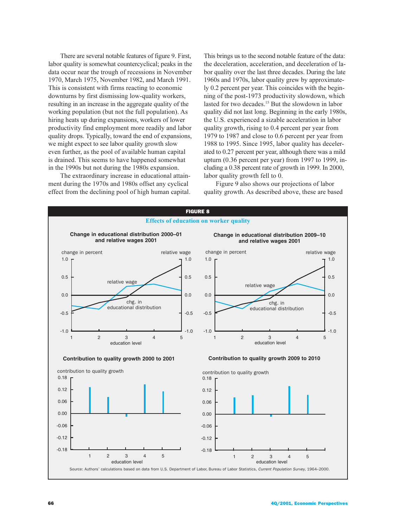There are several notable features of figure 9. First, labor quality is somewhat countercyclical; peaks in the data occur near the trough of recessions in November  $1970$ , March  $1975$ , November  $1982$ , and March  $1991$ . This is consistent with firms reacting to economic downturns by first dismissing low-quality workers, resulting in an increase in the aggregate quality of the working population (but not the full population). As hiring heats up during expansions, workers of lower productivity find employment more readily and labor quality drops. Typically, toward the end of expansions, we might expect to see labor quality growth slow even further, as the pool of available human capital is drained. This seems to have happened somewhat in the 1990s but not during the 1980s expansion.

The extraordinary increase in educational attainment during the 1970s and 1980s offset any cyclical effect from the declining pool of high human capital.

This brings us to the second notable feature of the data: the deceleration, acceleration, and deceleration of labor quality over the last three decades. During the late 1960s and 1970s, labor quality grew by approximately 0.2 percent per year. This coincides with the beginning of the post-1973 productivity slowdown, which lasted for two decades.<sup>15</sup> But the slowdown in labor quality did not last long. Beginning in the early 1980s, the U.S. experienced a sizable acceleration in labor quality growth, rising to 0.4 percent per year from 1979 to 1987 and close to  $0.6$  percent per year from  $1988$  to  $1995$ . Since  $1995$ , labor quality has decelerated to  $0.27$  percent per year, although there was a mild upturn  $(0.36$  percent per year) from 1997 to 1999, including a 0.38 percent rate of growth in 1999. In 2000, labor quality growth fell to 0.

Figure 9 also shows our projections of labor quality growth. As described above, these are based

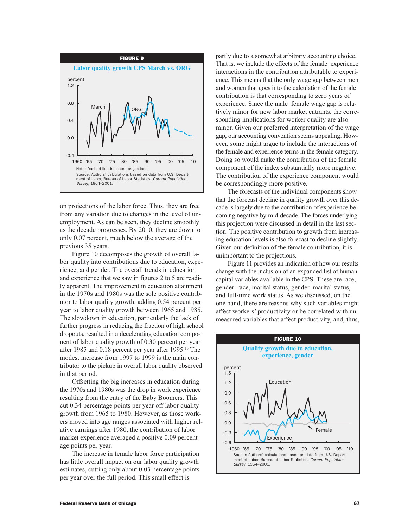

on projections of the labor force. Thus, they are free from any variation due to changes in the level of unemployment. As can be seen, they decline smoothly as the decade progresses. By  $2010$ , they are down to only  $0.07$  percent, much below the average of the previous 35 years.

Figure 10 decomposes the growth of overall labor quality into contributions due to education, experience, and gender. The overall trends in education and experience that we saw in figures  $2$  to 5 are readily apparent. The improvement in education attainment in the 1970s and 1980s was the sole positive contributor to labor quality growth, adding 0.54 percent per year to labor quality growth between 1965 and 1985. The slowdown in education, particularly the lack of further progress in reducing the fraction of high school dropouts, resulted in a decelerating education component of labor quality growth of 0.30 percent per year after 1985 and 0.18 percent per year after 1995.<sup>16</sup> The modest increase from 1997 to 1999 is the main contributor to the pickup in overall labor quality observed in that period.

Offsetting the big increases in education during the 1970s and 1980s was the drop in work experience resulting from the entry of the Baby Boomers. This cut 0.34 percentage points per year off labor quality growth from 1965 to 1980. However, as those workers moved into age ranges associated with higher relative earnings after 1980, the contribution of labor market experience averaged a positive 0.09 percentage points per year.

The increase in female labor force participation has little overall impact on our labor quality growth estimates, cutting only about 0.03 percentage points per year over the full period. This small effect is

partly due to a somewhat arbitrary accounting choice. That is, we include the effects of the female-experience interactions in the contribution attributable to experience. This means that the only wage gap between men and women that goes into the calculation of the female contribution is that corresponding to zero years of experience. Since the male–female wage gap is relatively minor for new labor market entrants, the corresponding implications for worker quality are also minor. Given our preferred interpretation of the wage gap, our accounting convention seems appealing. However, some might argue to include the interactions of the female and experience terms in the female category. Doing so would make the contribution of the female component of the index substantially more negative. The contribution of the experience component would be correspondingly more positive.

The forecasts of the individual components show that the forecast decline in quality growth over this decade is largely due to the contribution of experience becoming negative by mid-decade. The forces underlying this projection were discussed in detail in the last section. The positive contribution to growth from increasing education levels is also forecast to decline slightly. Given our definition of the female contribution, it is unimportant to the projections.

Figure 11 provides an indication of how our results change with the inclusion of an expanded list of human capital variables available in the CPS. These are race, gender–race, marital status, gender–marital status, and full-time work status. As we discussed, on the one hand, there are reasons why such variables might affect workers' productivity or be correlated with unmeasured variables that affect productivity, and, thus,

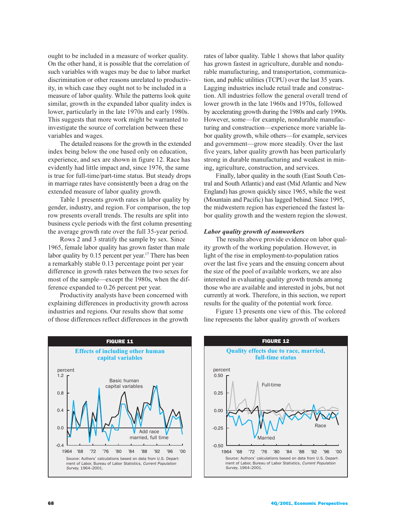ought to be included in a measure of worker quality. On the other hand, it is possible that the correlation of such variables with wages may be due to labor market discrimination or other reasons unrelated to productivity, in which case they ought not to be included in a measure of labor quality. While the patterns look quite similar, growth in the expanded labor quality index is lower, particularly in the late 1970s and early 1980s. This suggests that more work might be warranted to investigate the source of correlation between these variables and wages.

The detailed reasons for the growth in the extended index being below the one based only on education, experience, and sex are shown in figure 12. Race has evidently had little impact and, since 1976, the same is true for full-time/part-time status. But steady drops in marriage rates have consistently been a drag on the extended measure of labor quality growth.

Table 1 presents growth rates in labor quality by gender, industry, and region. For comparison, the top row presents overall trends. The results are split into business cycle periods with the first column presenting the average growth rate over the full 35-year period.

Rows 2 and 3 stratify the sample by sex. Since 1965, female labor quality has grown faster than male labor quality by 0.15 percent per year.<sup>17</sup> There has been a remarkably stable 0.13 percentage point per year difference in growth rates between the two sexes for most of the sample—except the 1980s, when the difference expanded to 0.26 percent per year.

Productivity analysts have been concerned with explaining differences in productivity growth across industries and regions. Our results show that some of those differences reflect differences in the growth rates of labor quality. Table 1 shows that labor quality has grown fastest in agriculture, durable and nondurable manufacturing, and transportation, communication, and public utilities (TCPU) over the last  $35$  years. Lagging industries include retail trade and construction. All industries follow the general overall trend of lower growth in the late 1960s and 1970s, followed by accelerating growth during the 1980s and early 1990s. However, some—for example, nondurable manufacturing and construction—experience more variable labor quality growth, while others—for example, services and government—grow more steadily. Over the last five years, labor quality growth has been particularly strong in durable manufacturing and weakest in mining, agriculture, construction, and services.

Finally, labor quality in the south (East South Central and South Atlantic) and east (Mid Atlantic and New England) has grown quickly since 1965, while the west (Mountain and Pacific) has lagged behind. Since 1995, the midwestern region has experienced the fastest labor quality growth and the western region the slowest.

## Labor quality growth of nonworkers

The results above provide evidence on labor quality growth of the working population. However, in light of the rise in employment-to-population ratios over the last five years and the ensuing concern about the size of the pool of available workers, we are also interested in evaluating quality growth trends among those who are available and interested in jobs, but not currently at work. Therefore, in this section, we report results for the quality of the potential work force.

Figure 13 presents one view of this. The colored line represents the labor quality growth of workers



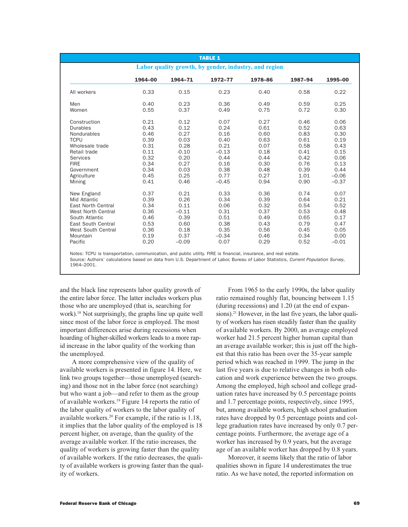| <b>TABLE 1</b>                                                                                                                                                             |                                                                                      |                                                                                         |                                                                                            |                                                                                      |                                                                                      |                                                                                            |
|----------------------------------------------------------------------------------------------------------------------------------------------------------------------------|--------------------------------------------------------------------------------------|-----------------------------------------------------------------------------------------|--------------------------------------------------------------------------------------------|--------------------------------------------------------------------------------------|--------------------------------------------------------------------------------------|--------------------------------------------------------------------------------------------|
| Labor quality growth, by gender, industry, and region                                                                                                                      |                                                                                      |                                                                                         |                                                                                            |                                                                                      |                                                                                      |                                                                                            |
|                                                                                                                                                                            | 1964-00                                                                              | 1964-71                                                                                 | 1972-77                                                                                    | 1978-86                                                                              | 1987-94                                                                              | 1995-00                                                                                    |
| All workers                                                                                                                                                                | 0.33                                                                                 | 0.15                                                                                    | 0.23                                                                                       | 0.40                                                                                 | 0.58                                                                                 | 0.22                                                                                       |
| Men<br>Women                                                                                                                                                               | 0.40<br>0.55                                                                         | 0.23<br>0.37                                                                            | 0.36<br>0.49                                                                               | 0.49<br>0.75                                                                         | 0.59<br>0.72                                                                         | 0.25<br>0.30                                                                               |
| Construction<br><b>Durables</b><br>Nondurables<br><b>TCPU</b><br>Wholesale trade<br>Retail trade<br><b>Services</b><br><b>FIRE</b><br>Government<br>Agriculture<br>Mining  | 0.21<br>0.43<br>0.46<br>0.39<br>0.31<br>0.11<br>0.32<br>0.34<br>0.34<br>0.45<br>0.41 | 0.12<br>0.12<br>0.27<br>0.03<br>0.28<br>$-0.10$<br>0.20<br>0.27<br>0.03<br>0.25<br>0.46 | 0.07<br>0.24<br>0.16<br>0.40<br>0.21<br>$-0.13$<br>0.44<br>0.16<br>0.38<br>0.77<br>$-0.45$ | 0.27<br>0.61<br>0.60<br>0.63<br>0.07<br>0.18<br>0.44<br>0.30<br>0.48<br>0.27<br>0.94 | 0.46<br>0.52<br>0.83<br>0.61<br>0.58<br>0.41<br>0.42<br>0.76<br>0.39<br>1.01<br>0.90 | 0.06<br>0.63<br>0.30<br>0.19<br>0.43<br>0.15<br>0.06<br>0.13<br>0.44<br>$-0.06$<br>$-0.37$ |
| New England<br>Mid Atlantic<br><b>East North Central</b><br><b>West North Central</b><br>South Atlantic<br>East South Central<br>West South Central<br>Mountain<br>Pacific | 0.37<br>0.39<br>0.34<br>0.36<br>0.46<br>0.53<br>0.36<br>0.19<br>0.20                 | 0.21<br>0.26<br>0.11<br>$-0.11$<br>0.39<br>0.60<br>0.18<br>0.37<br>$-0.09$              | 0.33<br>0.34<br>0.06<br>0.31<br>0.51<br>0.38<br>0.35<br>$-0.34$<br>0.07                    | 0.36<br>0.39<br>0.32<br>0.37<br>0.49<br>0.43<br>0.56<br>0.46<br>0.29                 | 0.74<br>0.64<br>0.54<br>0.53<br>0.65<br>0.79<br>0.45<br>0.34<br>0.52                 | 0.07<br>0.21<br>0.52<br>0.48<br>0.17<br>0.47<br>0.05<br>0.00<br>$-0.01$                    |

Notes: TCPU is transportation, communication, and public utility. FIRE is financial, insurance, and real estate. Source: Authors' calculations based on data from U.S. Department of Labor, Bureau of Labor Statistics, Current Population Survey, 1964–2001.

and the black line represents labor quality growth of the entire labor force. The latter includes workers plus those who are unemployed (that is, searching for work).<sup>18</sup> Not surprisingly, the graphs line up quite well since most of the labor force is employed. The most important differences arise during recessions when hoarding of higher-skilled workers leads to a more rapid increase in the labor quality of the working than the unemployed.

A more comprehensive view of the quality of available workers is presented in figure 14. Here, we link two groups together—those unemployed (searching) and those not in the labor force (not searching) but who want a job—and refer to them as the group of available workers.<sup>19</sup> Figure 14 reports the ratio of the labor quality of workers to the labor quality of available workers.<sup>20</sup> For example, if the ratio is 1.18, it implies that the labor quality of the employed is 18 percent higher, on average, than the quality of the average available worker. If the ratio increases, the quality of workers is growing faster than the quality of available workers. If the ratio decreases, the quality of available workers is growing faster than the quality of workers.

From 1965 to the early 1990s, the labor quality ratio remained roughly flat, bouncing between 1.15 (during recessions) and  $1.20$  (at the end of expansions).<sup>21</sup> However, in the last five years, the labor quality of workers has risen steadily faster than the quality of available workers. By 2000, an average employed worker had 21.5 percent higher human capital than an average available worker; this is just off the highest that this ratio has been over the 35-year sample period which was reached in 1999. The jump in the last five years is due to relative changes in both education and work experience between the two groups. Among the employed, high school and college graduation rates have increased by  $0.5$  percentage points and  $1.7$  percentage points, respectively, since  $1995$ , but, among available workers, high school graduation rates have dropped by 0.5 percentage points and college graduation rates have increased by only 0.7 percentage points. Furthermore, the average age of a worker has increased by 0.9 years, but the average age of an available worker has dropped by 0.8 years.

Moreover, it seems likely that the ratio of labor qualities shown in figure 14 underestimates the true ratio. As we have noted, the reported information on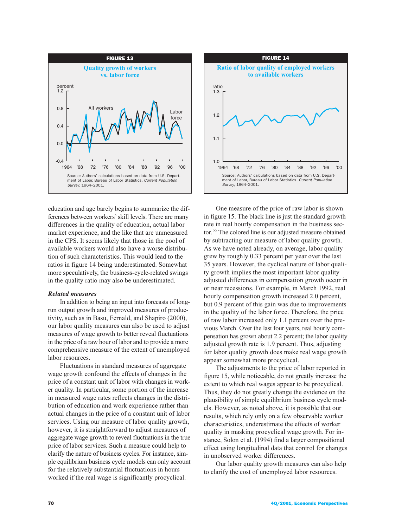

education and age barely begins to summarize the differences between workers' skill levels. There are many differences in the quality of education, actual labor market experience, and the like that are unmeasured in the CPS. It seems likely that those in the pool of available workers would also have a worse distribution of such characteristics. This would lead to the ratios in figure 14 being underestimated. Somewhat more speculatively, the business-cycle-related swings in the quality ratio may also be underestimated.

# *Related measures*

In addition to being an input into forecasts of longrun output growth and improved measures of productivity, such as in Basu, Fernald, and Shapiro  $(2000)$ , our labor quality measures can also be used to adjust measures of wage growth to better reveal fluctuations in the price of a raw hour of labor and to provide a more comprehensive measure of the extent of unemployed labor resources.

Fluctuations in standard measures of aggregate wage growth confound the effects of changes in the price of a constant unit of labor with changes in worker quality. In particular, some portion of the increase in measured wage rates reflects changes in the distribution of education and work experience rather than actual changes in the price of a constant unit of labor services. Using our measure of labor quality growth, however, it is straightforward to adjust measures of aggregate wage growth to reveal fluctuations in the true price of labor services. Such a measure could help to clarify the nature of business cycles. For instance, simple equilibrium business cycle models can only account for the relatively substantial fluctuations in hours worked if the real wage is significantly procyclical.



One measure of the price of raw labor is shown in figure 15. The black line is just the standard growth rate in real hourly compensation in the business sector.<sup>22</sup> The colored line is our adjusted measure obtained by subtracting our measure of labor quality growth. As we have noted already, on average, labor quality grew by roughly 0.33 percent per year over the last 35 years. However, the cyclical nature of labor quality growth implies the most important labor quality adjusted differences in compensation growth occur in or near recessions. For example, in March 1992, real hourly compensation growth increased 2.0 percent, but 0.9 percent of this gain was due to improvements in the quality of the labor force. Therefore, the price of raw labor increased only 1.1 percent over the previous March. Over the last four years, real hourly compensation has grown about 2.2 percent; the labor quality adjusted growth rate is 1.9 percent. Thus, adjusting for labor quality growth does make real wage growth appear somewhat more procyclical.

The adjustments to the price of labor reported in figure 15, while noticeable, do not greatly increase the extent to which real wages appear to be procyclical. Thus, they do not greatly change the evidence on the plausibility of simple equilibrium business cycle models. However, as noted above, it is possible that our results, which rely only on a few observable worker characteristics, underestimate the effects of worker quality in masking procyclical wage growth. For instance, Solon et al. (1994) find a larger compositional effect using longitudinal data that control for changes in unobserved worker differences.

Our labor quality growth measures can also help to clarify the cost of unemployed labor resources.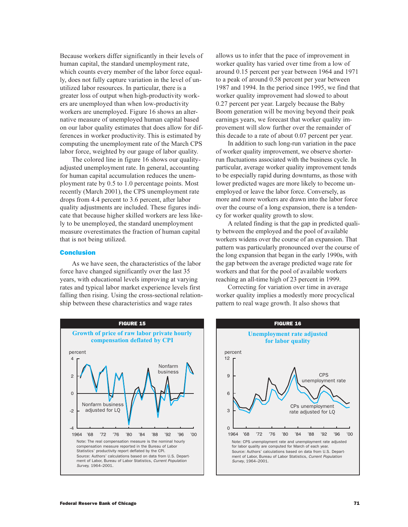Because workers differ significantly in their levels of human capital, the standard unemployment rate, which counts every member of the labor force equally, does not fully capture variation in the level of unutilized labor resources. In particular, there is a greater loss of output when high-productivity workers are unemployed than when low-productivity workers are unemployed. Figure 16 shows an alternative measure of unemployed human capital based on our labor quality estimates that does allow for differences in worker productivity. This is estimated by computing the unemployment rate of the March CPS labor force, weighted by our gauge of labor quality.

The colored line in figure 16 shows our qualityadjusted unemployment rate. In general, accounting for human capital accumulation reduces the unemployment rate by  $0.5$  to  $1.0$  percentage points. Most recently (March 2001), the CPS unemployment rate drops from 4.4 percent to 3.6 percent, after labor quality adjustments are included. These figures indicate that because higher skilled workers are less likely to be unemployed, the standard unemployment measure overestimates the fraction of human capital that is not being utilized.

### **Conclusion**

As we have seen, the characteristics of the labor force have changed significantly over the last 35 years, with educational levels improving at varying rates and typical labor market experience levels first falling then rising. Using the cross-sectional relationship between these characteristics and wage rates

allows us to infer that the pace of improvement in worker quality has varied over time from a low of around 0.15 percent per year between 1964 and 1971 to a peak of around 0.58 percent per year between  $1987$  and  $1994$ . In the period since  $1995$ , we find that worker quality improvement had slowed to about  $0.27$  percent per year. Largely because the Baby Boom generation will be moving beyond their peak earnings years, we forecast that worker quality improvement will slow further over the remainder of this decade to a rate of about  $0.07$  percent per year.

In addition to such long-run variation in the pace of worker quality improvement, we observe shorterrun fluctuations associated with the business cycle. In particular, average worker quality improvement tends to be especially rapid during downturns, as those with lower predicted wages are more likely to become unemployed or leave the labor force. Conversely, as more and more workers are drawn into the labor force over the course of a long expansion, there is a tendency for worker quality growth to slow.

A related finding is that the gap in predicted quality between the employed and the pool of available workers widens over the course of an expansion. That pattern was particularly pronounced over the course of the long expansion that began in the early 1990s, with the gap between the average predicted wage rate for workers and that for the pool of available workers reaching an all-time high of 23 percent in 1999.

Correcting for variation over time in average worker quality implies a modestly more procyclical pattern to real wage growth. It also shows that



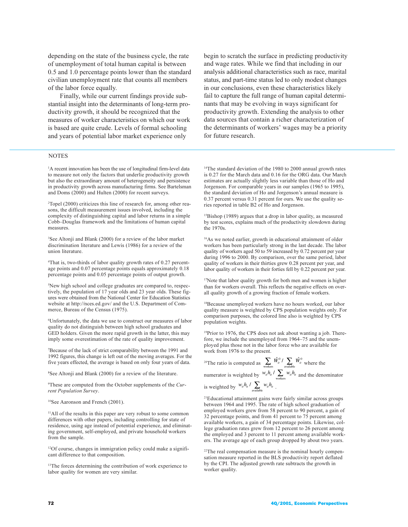depending on the state of the business cycle, the rate of unemployment of total human capital is between 0.5 and 1.0 percentage points lower than the standard civilian unemployment rate that counts all members of the labor force equally.

Finally, while our current findings provide substantial insight into the determinants of long-term productivity growth, it should be recognized that the measures of worker characteristics on which our work is based are quite crude. Levels of formal schooling and years of potential labor market experience only

# begin to scratch the surface in predicting productivity and wage rates. While we find that including in our analysis additional characteristics such as race, marital status, and part-time status led to only modest changes in our conclusions, even these characteristics likely fail to capture the full range of human capital determinants that may be evolving in ways significant for productivity growth. Extending the analysis to other data sources that contain a richer characterization of the determinants of workers' wages may be a priority for future research.

### **NOTES**

<sup>1</sup>A recent innovation has been the use of longitudinal firm-level data to measure not only the factors that underlie productivity growth but also the extraordinary amount of heterogeneity and persistence in productivity growth across manufacturing firms. See Bartelsman and Doms (2000) and Hulten (2000) for recent surveys.

<sup>2</sup>Topel (2000) criticizes this line of research for, among other reasons, the difficult measurement issues involved, including the complexity of distinguishing capital and labor returns in a simple Cobb-Douglas framework and the limitations of human capital measures.

<sup>3</sup>See Altonji and Blank (2000) for a review of the labor market discrimination literature and Lewis (1986) for a review of the union literature.

<sup>4</sup>That is, two-thirds of labor quality growth rates of 0.27 percentage points and 0.07 percentage points equals approximately 0.18 percentage points and 0.05 percentage points of output growth.

<sup>5</sup>New high school and college graduates are compared to, respectively, the population of 17 year olds and 23 year olds. These figures were obtained from the National Center for Education Statistics website at http://nces.ed.gov/ and the U.S. Department of Commerce, Bureau of the Census (1975).

<sup>6</sup>Unfortunately, the data we use to construct our measures of labor quality do not distinguish between high school graduates and GED holders. Given the more rapid growth in the latter, this may imply some overestimation of the rate of quality improvement.

<sup>7</sup>Because of the lack of strict comparability between the 1991 and 1992 figures, this change is left out of the moving averages. For the five years effected, the average is based on only four years of data.

<sup>8</sup>See Altonji and Blank (2000) for a review of the literature.

<sup>9</sup>These are computed from the October supplements of the Current Population Survey.

<sup>10</sup>See Aaronson and French (2001).

<sup>11</sup>All of the results in this paper are very robust to some common differences with other papers, including controlling for state of residence, using age instead of potential experience, and eliminating government, self-employed, and private household workers from the sample.

<sup>12</sup>Of course, changes in immigration policy could make a significant difference to that composition.

<sup>13</sup>The forces determining the contribution of work experience to labor quality for women are very similar.

<sup>14</sup>The standard deviation of the 1980 to 2000 annual growth rates is 0.27 for the March data and 0.16 for the ORG data. Our March estimates are actually slightly less variable than those of Ho and Jorgenson. For comparable years in our samples (1965 to 1995), the standard deviation of Ho and Jorgenson's annual measure is 0.37 percent versus 0.31 percent for ours. We use the quality series reported in table B2 of Ho and Jorgenson.

<sup>15</sup>Bishop (1989) argues that a drop in labor quality, as measured by test scores, explains much of the productivity slowdown during the 1970s.

 $16\text{As}$  we noted earlier, growth in educational attainment of older workers has been particularly strong in the last decade. The labor quality of workers aged 50 to 59 increased by 0.72 percent per year during 1996 to 2000. By comparison, over the same period, labor quality of workers in their thirties grew 0.28 percent per year, and labor quality of workers in their forties fell by 0.22 percent per year.

<sup>17</sup>Note that labor quality growth for both men and women is higher than for workers overall. This reflects the negative effects on overall quality growth of a growing fraction of female workers.

<sup>18</sup>Because unemployed workers have no hours worked, our labor quality measure is weighted by CPS population weights only. For comparison purposes, the colored line also is weighted by CPS population weights.

<sup>19</sup>Prior to 1976, the CPS does not ask about wanting a job. Therefore, we include the unemployed from 1964–75 and the unemployed plus those not in the labor force who are available for work from 1976 to the present.

<sup>20</sup>The ratio is computed as  $\sum_{\text{workers}} \hat{W}_{ii}^0 / \sum_{\text{available}} \hat{W}_{ii}^0$  where the numerator is weighted by  $\frac{w_n h_n}{\sqrt{w_n}} \left( \sum_{\text{wokes}} w_n h_n \right)$  and the denominator is weighted by  $w_{ii}h_{ii}/\sum_{i=1}^N w_{ii}h_{ii}$ .

<sup>21</sup>Educational attainment gains were fairly similar across groups between 1964 and 1995. The rate of high school graduation of employed workers grew from 58 percent to 90 percent, a gain of 32 percentage points, and from 41 percent to 75 percent among available workers, a gain of 34 percentage points. Likewise, college graduation rates grew from 12 percent to 26 percent among the employed and 3 percent to 11 percent among available workers. The average age of each group dropped by about two years.

<sup>22</sup>The real compensation measure is the nominal hourly compensation measure reported in the BLS productivity report deflated by the CPI. The adjusted growth rate subtracts the growth in worker quality.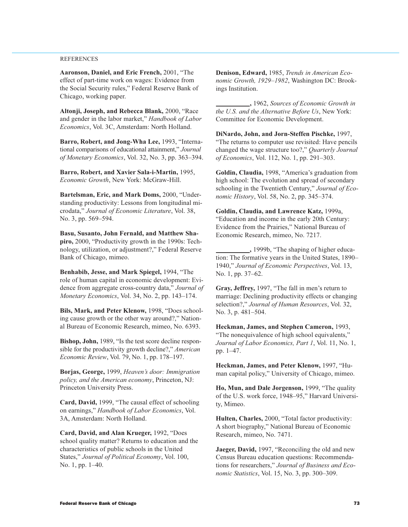## **REFERENCES**

Aaronson, Daniel, and Eric French, 2001, "The effect of part-time work on wages: Evidence from the Social Security rules," Federal Reserve Bank of Chicago, working paper.

Altonji, Joseph, and Rebecca Blank, 2000, "Race and gender in the labor market," *Handbook of Labor* Economics, Vol. 3C, Amsterdam: North Holland.

Barro, Robert, and Jong-Wha Lee, 1993, "International comparisons of educational attainment," Journal of Monetary Economics, Vol. 32, No. 3, pp. 363-394.

Barro, Robert, and Xavier Sala-i-Martin, 1995, Economic Growth, New York: McGraw-Hill.

Bartelsman, Eric, and Mark Doms, 2000, "Understanding productivity: Lessons from longitudinal microdata," Journal of Economic Literature, Vol. 38, No. 3, pp. 569-594.

Basu, Susanto, John Fernald, and Matthew Shapiro, 2000, "Productivity growth in the 1990s: Technology, utilization, or adjustment?," Federal Reserve Bank of Chicago, mimeo.

Benhabib, Jesse, and Mark Spiegel, 1994, "The role of human capital in economic development: Evidence from aggregate cross-country data," Journal of Monetary Economics, Vol. 34, No. 2, pp. 143-174.

Bils, Mark, and Peter Klenow, 1998, "Does schooling cause growth or the other way around?," National Bureau of Economic Research, mimeo, No. 6393.

Bishop, John, 1989, "Is the test score decline responsible for the productivity growth decline?," American Economic Review, Vol. 79, No. 1, pp. 178-197.

Borjas, George, 1999, Heaven's door: Immigration policy, and the American economy, Princeton, NJ: Princeton University Press.

Card, David, 1999, "The causal effect of schooling on earnings," *Handbook of Labor Economics*, Vol. 3A, Amsterdam: North Holland.

Card, David, and Alan Krueger, 1992, "Does school quality matter? Returns to education and the characteristics of public schools in the United States," Journal of Political Economy, Vol. 100, No. 1, pp. 1-40.

Denison, Edward, 1985, Trends in American Economic Growth, 1929-1982, Washington DC: Brookings Institution.

, 1962, Sources of Economic Growth in the U.S. and the Alternative Before Us, New York: Committee for Economic Development.

DiNardo, John, and Jorn-Steffen Pischke, 1997, "The returns to computer use revisited: Have pencils" changed the wage structure too?," Quarterly Journal of Economics, Vol. 112, No. 1, pp. 291–303.

Goldin, Claudia, 1998, "America's graduation from high school: The evolution and spread of secondary schooling in the Twentieth Century," Journal of Economic History, Vol. 58, No. 2, pp. 345–374.

Goldin, Claudia, and Lawrence Katz, 1999a, "Education and income in the early 20th Century: Evidence from the Prairies," National Bureau of Economic Research, mimeo, No. 7217.

-, 1999b, "The shaping of higher education: The formative years in the United States, 1890– 1940," Journal of Economic Perspectives, Vol. 13, No. 1, pp. 37-62.

Gray, Jeffrey, 1997, "The fall in men's return to marriage: Declining productivity effects or changing selection?," Journal of Human Resources, Vol. 32, No. 3, p.  $481-504$ .

Heckman, James, and Stephen Cameron, 1993. "The nonequivalence of high school equivalents," Journal of Labor Economics, Part 1, Vol. 11, No. 1, pp. 1-47.

Heckman, James, and Peter Klenow, 1997, "Human capital policy," University of Chicago, mimeo.

Ho, Mun, and Dale Jorgenson, 1999, "The quality of the U.S. work force, 1948-95," Harvard University, Mimeo.

Hulten, Charles, 2000, "Total factor productivity: A short biography," National Bureau of Economic Research, mimeo, No. 7471.

Jaeger, David, 1997, "Reconciling the old and new Census Bureau education questions: Recommendations for researchers," Journal of Business and Economic Statistics, Vol. 15, No. 3, pp. 300-309.